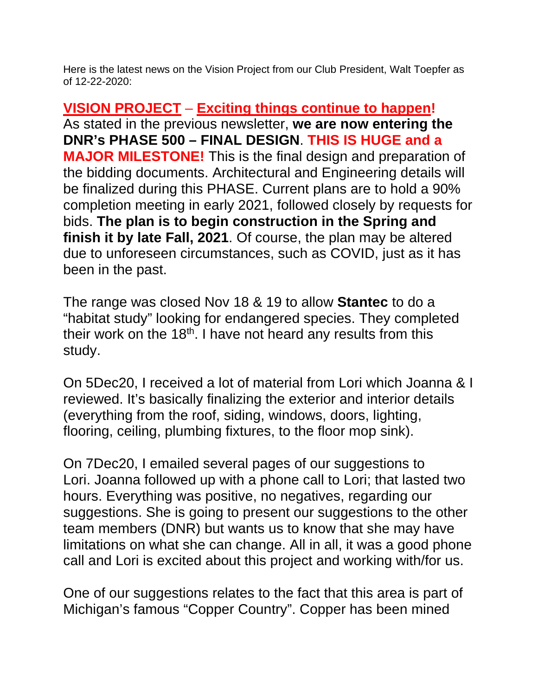Here is the latest news on the Vision Project from our Club President, Walt Toepfer as of 12-22-2020:

**VISION PROJECT** – **Exciting things continue to happen!** As stated in the previous newsletter, **we are now entering the DNR's PHASE 500 – FINAL DESIGN**. **THIS IS HUGE and a MAJOR MILESTONE!** This is the final design and preparation of the bidding documents. Architectural and Engineering details will be finalized during this PHASE. Current plans are to hold a 90% completion meeting in early 2021, followed closely by requests for bids. **The plan is to begin construction in the Spring and finish it by late Fall, 2021**. Of course, the plan may be altered due to unforeseen circumstances, such as COVID, just as it has been in the past.

The range was closed Nov 18 & 19 to allow **Stantec** to do a "habitat study" looking for endangered species. They completed their work on the  $18<sup>th</sup>$ . I have not heard any results from this study.

On 5Dec20, I received a lot of material from Lori which Joanna & I reviewed. It's basically finalizing the exterior and interior details (everything from the roof, siding, windows, doors, lighting, flooring, ceiling, plumbing fixtures, to the floor mop sink).

On 7Dec20, I emailed several pages of our suggestions to Lori. Joanna followed up with a phone call to Lori; that lasted two hours. Everything was positive, no negatives, regarding our suggestions. She is going to present our suggestions to the other team members (DNR) but wants us to know that she may have limitations on what she can change. All in all, it was a good phone call and Lori is excited about this project and working with/for us.

One of our suggestions relates to the fact that this area is part of Michigan's famous "Copper Country". Copper has been mined